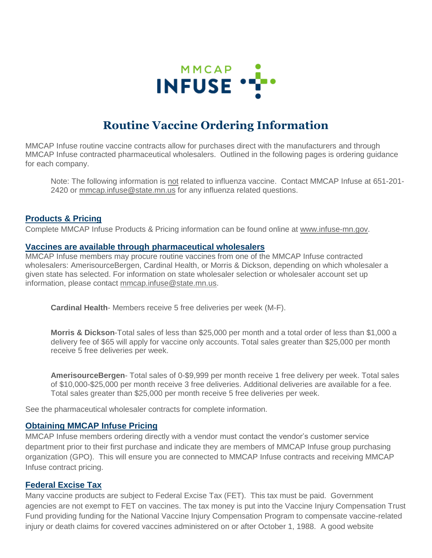

# **Routine Vaccine Ordering Information**

MMCAP Infuse routine vaccine contracts allow for purchases direct with the manufacturers and through MMCAP Infuse contracted pharmaceutical wholesalers. Outlined in the following pages is ordering guidance for each company.

Note: The following information is not related to influenza vaccine. Contact MMCAP Infuse at 651-201- 2420 or [mmcap.infuse@state.mn.us](mailto:mmcap.infuse@state.mn.us) for any influenza related questions.

#### **Products & Pricing**

Complete MMCAP Infuse Products & Pricing information can be found online at [www.infuse-mn.gov.](http://www.infuse-mn.gov/)

#### **Vaccines are available through pharmaceutical wholesalers**

MMCAP Infuse members may procure routine vaccines from one of the MMCAP Infuse contracted wholesalers: AmerisourceBergen, Cardinal Health, or Morris & Dickson, depending on which wholesaler a given state has selected. For information on state wholesaler selection or wholesaler account set up information, please contact [mmcap.infuse@state.mn.us.](mailto:mmcap.infuse@state.mn.us)

**Cardinal Health**- Members receive 5 free deliveries per week (M-F).

**Morris & Dickson**-Total sales of less than \$25,000 per month and a total order of less than \$1,000 a delivery fee of \$65 will apply for vaccine only accounts. Total sales greater than \$25,000 per month receive 5 free deliveries per week.

**AmerisourceBergen**- Total sales of 0-\$9,999 per month receive 1 free delivery per week. Total sales of \$10,000-\$25,000 per month receive 3 free deliveries. Additional deliveries are available for a fee. Total sales greater than \$25,000 per month receive 5 free deliveries per week.

See the pharmaceutical wholesaler contracts for complete information.

#### **Obtaining MMCAP Infuse Pricing**

MMCAP Infuse members ordering directly with a vendor must contact the vendor's customer service department prior to their first purchase and indicate they are members of MMCAP Infuse group purchasing organization (GPO). This will ensure you are connected to MMCAP Infuse contracts and receiving MMCAP Infuse contract pricing.

#### **Federal Excise Tax**

Many vaccine products are subject to Federal Excise Tax (FET). This tax must be paid. Government agencies are not exempt to FET on vaccines. The tax money is put into the Vaccine Injury Compensation Trust Fund providing funding for the National Vaccine Injury Compensation Program to compensate vaccine-related injury or death claims for covered vaccines administered on or after October 1, 1988. A good website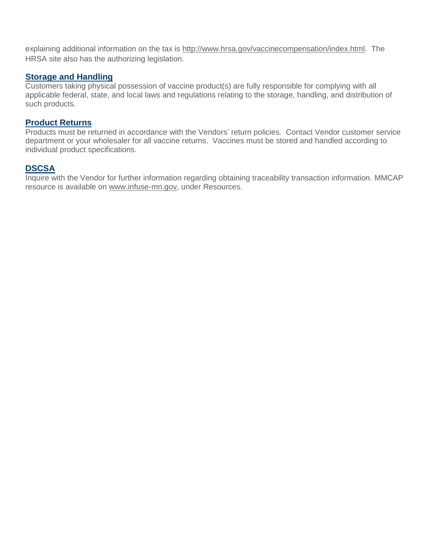explaining additional information on the tax is [http://www.hrsa.gov/vaccinecompensation/index.html.](http://www.hrsa.gov/vaccinecompensation/index.html) The HRSA site also has the authorizing legislation.

## **Storage and Handling**

Customers taking physical possession of vaccine product(s) are fully responsible for complying with all applicable federal, state, and local laws and regulations relating to the storage, handling, and distribution of such products.

#### **Product Returns**

Products must be returned in accordance with the Vendors' return policies. Contact Vendor customer service department or your wholesaler for all vaccine returns. Vaccines must be stored and handled according to individual product specifications.

## **DSCSA**

Inquire with the Vendor for further information regarding obtaining traceability transaction information. MMCAP resource is available on [www.infuse-mn.gov,](http://www.infuse-mn.gov/) under Resources.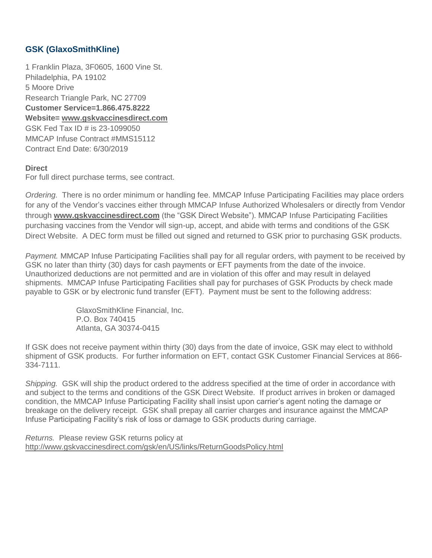# **GSK (GlaxoSmithKline)**

1 Franklin Plaza, 3F0605, 1600 Vine St. Philadelphia, PA 19102 5 Moore Drive Research Triangle Park, NC 27709 **Customer Service=1.866.475.8222 Website= [www.gskvaccinesdirect.com](https://www.gsk.com/en-gb/products/our-vaccines/)** GSK Fed Tax ID # is 23-1099050 MMCAP Infuse Contract #MMS15112 Contract End Date: 6/30/2019

#### **Direct**

For full direct purchase terms, see contract.

*Ordering.* There is no order minimum or handling fee. MMCAP Infuse Participating Facilities may place orders for any of the Vendor's vaccines either through MMCAP Infuse Authorized Wholesalers or directly from Vendor through **[www.gskvaccinesdirect.com](https://www.gsk.com/en-gb/products/our-vaccines/)** (the "GSK Direct Website"). MMCAP Infuse Participating Facilities purchasing vaccines from the Vendor will sign-up, accept, and abide with terms and conditions of the GSK Direct Website. A DEC form must be filled out signed and returned to GSK prior to purchasing GSK products.

*Payment.* MMCAP Infuse Participating Facilities shall pay for all regular orders, with payment to be received by GSK no later than thirty (30) days for cash payments or EFT payments from the date of the invoice. Unauthorized deductions are not permitted and are in violation of this offer and may result in delayed shipments. MMCAP Infuse Participating Facilities shall pay for purchases of GSK Products by check made payable to GSK or by electronic fund transfer (EFT). Payment must be sent to the following address:

> GlaxoSmithKline Financial, Inc. P.O. Box 740415 Atlanta, GA 30374-0415

If GSK does not receive payment within thirty (30) days from the date of invoice, GSK may elect to withhold shipment of GSK products. For further information on EFT, contact GSK Customer Financial Services at 866- 334-7111.

*Shipping.* GSK will ship the product ordered to the address specified at the time of order in accordance with and subject to the terms and conditions of the GSK Direct Website. If product arrives in broken or damaged condition, the MMCAP Infuse Participating Facility shall insist upon carrier's agent noting the damage or breakage on the delivery receipt. GSK shall prepay all carrier charges and insurance against the MMCAP Infuse Participating Facility's risk of loss or damage to GSK products during carriage.

*Returns.* Please review GSK returns policy at [http://www.gskvaccinesdirect.com/gsk/en/US/links/ReturnGoodsPolicy.html](https://www.gsk-ecs.com/medias/GSK-RETURN-GOODS-POLICY-EFFECTIVE-AUGUST-17-2020.pdf?context=bWFzdGVyfHJvb3R8NDA2NzQxfGFwcGxpY2F0aW9uL3BkZnxoNDIvaDZiLzkxNzQxODYwNjU5NTAucGRmfDc3Y2IxYjIzMjhlMDQyNmQwMDA1YjI1MjFjODc4ODJmYWZkYjdlYWJkNmY4YTM2NWU5Y2ZlNmQ0YzExOTczN2U)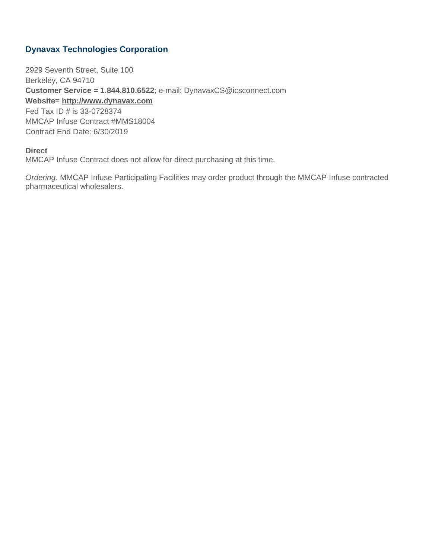# **Dynavax Technologies Corporation**

2929 Seventh Street, Suite 100 Berkeley, CA 94710 **Customer Service = 1.844.810.6522**; e-mail: DynavaxCS@icsconnect.com **Website= [http://www.dynavax.com](http://www.dynavax.com/)** Fed Tax ID # is 33-0728374 MMCAP Infuse Contract #MMS18004 Contract End Date: 6/30/2019

#### **Direct**

MMCAP Infuse Contract does not allow for direct purchasing at this time.

*Ordering.* MMCAP Infuse Participating Facilities may order product through the MMCAP Infuse contracted pharmaceutical wholesalers.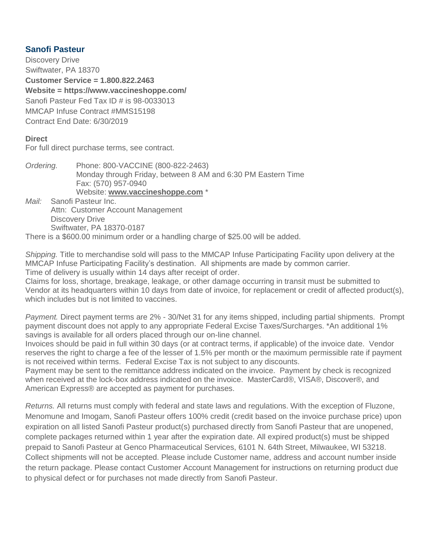# **Sanofi Pasteur**

Discovery Drive Swiftwater, PA 18370

**Customer Service = 1.800.822.2463 Website = https://www.vaccineshoppe.com/** Sanofi Pasteur Fed Tax ID # is 98-0033013 MMCAP Infuse Contract #MMS15198 Contract End Date: 6/30/2019

## **Direct**

For full direct purchase terms, see contract.

*Ordering.* Phone: 800-VACCINE (800-822-2463) Monday through Friday, between 8 AM and 6:30 PM Eastern Time Fax: (570) 957-0940 Website: **[www.vaccineshoppe.com](http://www.vaccineshoppe.com/)** \*

*Mail:* Sanofi Pasteur Inc. Attn: Customer Account Management Discovery Drive Swiftwater, PA 18370-0187

There is a \$600.00 minimum order or a handling charge of \$25.00 will be added.

*Shipping.* Title to merchandise sold will pass to the MMCAP Infuse Participating Facility upon delivery at the MMCAP Infuse Participating Facility's destination. All shipments are made by common carrier. Time of delivery is usually within 14 days after receipt of order.

Claims for loss, shortage, breakage, leakage, or other damage occurring in transit must be submitted to Vendor at its headquarters within 10 days from date of invoice, for replacement or credit of affected product(s), which includes but is not limited to vaccines.

*Payment.* Direct payment terms are 2% - 30/Net 31 for any items shipped, including partial shipments. Prompt payment discount does not apply to any appropriate Federal Excise Taxes/Surcharges. \*An additional 1% savings is available for all orders placed through our on-line channel.

Invoices should be paid in full within 30 days (or at contract terms, if applicable) of the invoice date. Vendor reserves the right to charge a fee of the lesser of 1.5% per month or the maximum permissible rate if payment is not received within terms. Federal Excise Tax is not subject to any discounts.

Payment may be sent to the remittance address indicated on the invoice. Payment by check is recognized when received at the lock-box address indicated on the invoice. MasterCard®, VISA®, Discover®, and American Express® are accepted as payment for purchases.

*Returns.* All returns must comply with federal and state laws and regulations. With the exception of Fluzone, Menomune and Imogam, Sanofi Pasteur offers 100% credit (credit based on the invoice purchase price) upon expiration on all listed Sanofi Pasteur product(s) purchased directly from Sanofi Pasteur that are unopened, complete packages returned within 1 year after the expiration date. All expired product(s) must be shipped prepaid to Sanofi Pasteur at Genco Pharmaceutical Services, 6101 N. 64th Street, Milwaukee, WI 53218. Collect shipments will not be accepted. Please include Customer name, address and account number inside the return package. Please contact Customer Account Management for instructions on returning product due to physical defect or for purchases not made directly from Sanofi Pasteur.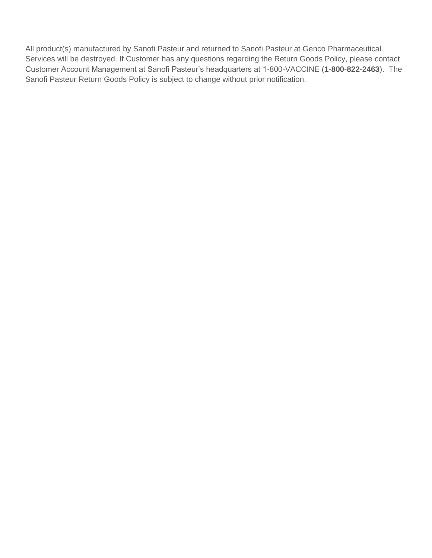All product(s) manufactured by Sanofi Pasteur and returned to Sanofi Pasteur at Genco Pharmaceutical Services will be destroyed. If Customer has any questions regarding the Return Goods Policy, please contact Customer Account Management at Sanofi Pasteur's headquarters at 1-800-VACCINE (**1-800-822-2463**). The Sanofi Pasteur Return Goods Policy is subject to change without prior notification.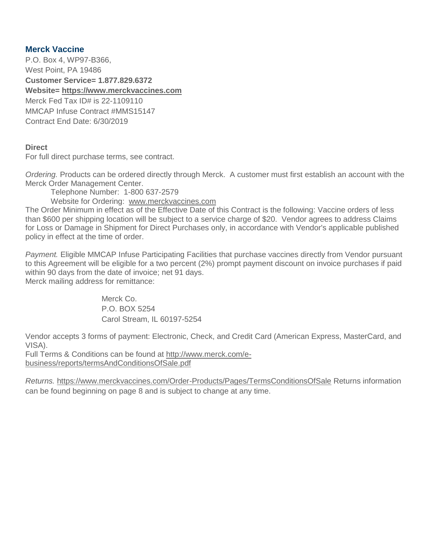## **Merck Vaccine**

P.O. Box 4, WP97-B366, West Point, PA 19486 **Customer Service= 1.877.829.6372 Website= [https://www.merckvaccines.com](https://www.merckvaccines.com/)** Merck Fed Tax ID# is 22-1109110 MMCAP Infuse Contract #MMS15147 Contract End Date: 6/30/2019

#### **Direct**

For full direct purchase terms, see contract.

*Ordering.* Products can be ordered directly through Merck. A customer must first establish an account with the Merck Order Management Center.

Telephone Number: 1-800 637-2579

Website for Ordering: [www.merckvaccines.com](http://www.merckvaccines.com/)

The Order Minimum in effect as of the Effective Date of this Contract is the following: Vaccine orders of less than \$600 per shipping location will be subject to a service charge of \$20. Vendor agrees to address Claims for Loss or Damage in Shipment for Direct Purchases only, in accordance with Vendor's applicable published policy in effect at the time of order.

*Payment.* Eligible MMCAP Infuse Participating Facilities that purchase vaccines directly from Vendor pursuant to this Agreement will be eligible for a two percent (2%) prompt payment discount on invoice purchases if paid within 90 days from the date of invoice; net 91 days. Merck mailing address for remittance:

> Merck Co. P.O. BOX 5254 Carol Stream, IL 60197-5254

Vendor accepts 3 forms of payment: Electronic, Check, and Credit Card (American Express, MasterCard, and VISA).

Full Terms & Conditions can be found at [http://www.merck.com/e](http://www.merck.com/e-business/reports/termsAndConditionsOfSale.pdf)[business/reports/termsAndConditionsOfSale.pdf](http://www.merck.com/e-business/reports/termsAndConditionsOfSale.pdf)

*Returns.* <https://www.merckvaccines.com/Order-Products/Pages/TermsConditionsOfSale> Returns information can be found beginning on page 8 and is subject to change at any time.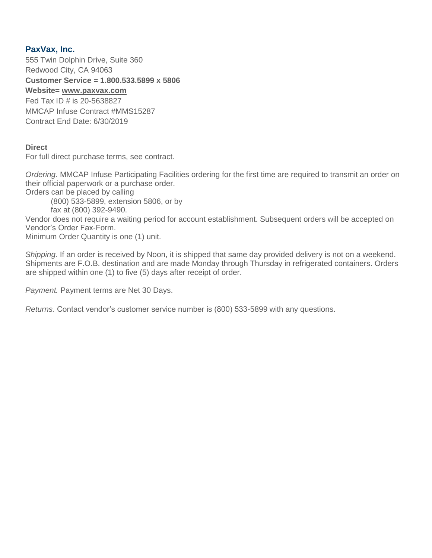# **PaxVax, Inc.**

555 Twin Dolphin Drive, Suite 360 Redwood City, CA 94063 **Customer Service = 1.800.533.5899 x 5806**

#### **Website= [www.paxvax.com](http://www.paxvax.com/)** Fed Tax ID # is 20-5638827 MMCAP Infuse Contract #MMS15287 Contract End Date: 6/30/2019

#### **Direct**

For full direct purchase terms, see contract.

*Ordering.* MMCAP Infuse Participating Facilities ordering for the first time are required to transmit an order on their official paperwork or a purchase order.

Orders can be placed by calling

(800) 533-5899, extension 5806, or by

fax at (800) 392-9490.

Vendor does not require a waiting period for account establishment. Subsequent orders will be accepted on Vendor's Order Fax-Form.

Minimum Order Quantity is one (1) unit.

*Shipping.* If an order is received by Noon, it is shipped that same day provided delivery is not on a weekend. Shipments are F.O.B. destination and are made Monday through Thursday in refrigerated containers. Orders are shipped within one (1) to five (5) days after receipt of order.

*Payment.* Payment terms are Net 30 Days.

*Returns.* Contact vendor's customer service number is (800) 533-5899 with any questions.